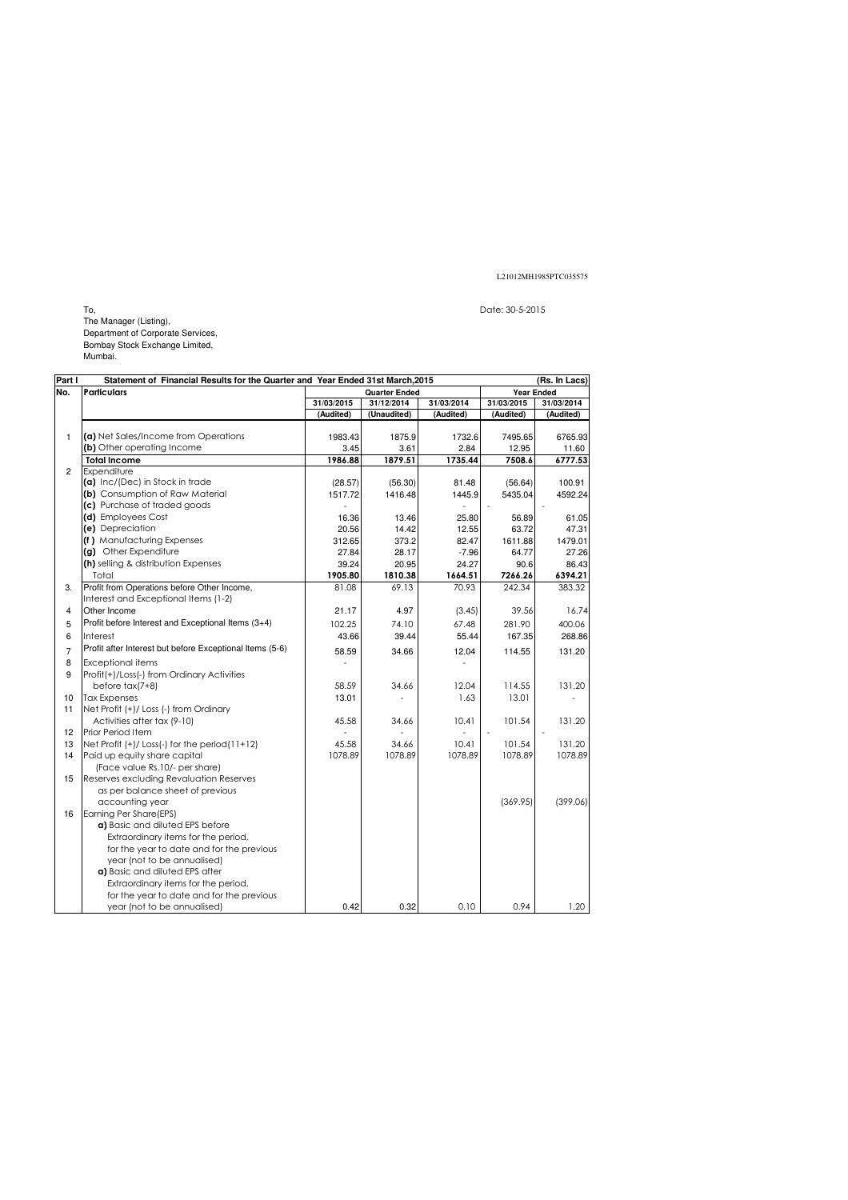L21012MH1985PTC035575

To, Date: 30-5-2015 The Manager (Listing), Department of Corporate Services, Bombay Stock Exchange Limited, Mumbai.

**(Rs. In Lacs) No. Particulars 31/03/2015 31/12/2014 31/03/2014 31/03/2015 31/03/2014 (Audited) (Unaudited) (Audited) (Audited) (Audited)** 1 **(a)** Net Sales/Income from Operations 1983.43 1875.9 1875.9 1732.6 7495.65 6765.93 **(b)** Other operating Income 3.45 3.61 2.84 12.95 11.60  **Total Income 1986.88 1879.51 1735.44 7508.6 6777.53** 2 Expenditure **(a)** Inc/(Dec) in Stock in trade **(28.57)** (28.57) (56.30) 81.48 (56.64) 100.91 **(b)** Consumption of Raw Material **1517.72** 1416.48 1445.9 5435.04 1592.24 **(c)** Purchase of traded goods **(d)** Employees Cost 16.36 13.46 25.80 56.89 61.05 **(e)** Depreciation 20.56 14.42 12.55 63.72 47.31 **(f )** Manufacturing Expenses **18th 312.65** 373.2 82.47 1611.88 1479.01 **(g)** Other Expenditure 27.84 28.17 -7.96 64.77 27.26 **(h)** selling & distribution Expenses  $\vert$  39.24 20.95 24.27 34.27 39.6 86.43 Total **1905.80 1810.38 1664.51 7266.26 6394.21** 3. Profit from Operations before Other Income, 1981.08 1.08 1.08 81.08 70.93 242.34 383.32 Interest and Exceptional Items (1-2) 4 Other Income 21.17 21.17 4.97 (3.45) 39.56 16.74 5 Profit before Interest and Exceptional Items (3+4) <br>102.25 74.10 67.48 67.48 281.90 400.06 6 Interest 43.66 39.44 55.44 167.35 268.86 7 Profit after Interest but before Exceptional Items (5-6) 34.66 58.59 12.04 114.55 131.20 8 Exceptional items and the set of the set of the set of the set of the set of the set of the set of the set of the set of the set of the set of the set of the set of the set of the set of the set of the set of the set of 9 Profit(+)/Loss(-) from Ordinary Activities before tax(7+8) 58.59 34.66 12.04 114.55 131.20 10 Tax Expenses 10 Tax Expenses 2014 13.01 13.01 13.01 13.01 13.01 11 **Net Profit (+)/ Loss (-) from Ordinary** Activities after tax (9-10) 131.20 12 Prior Period Item 13 Net Profit (+)/ Loss(-) for the period(11+12) 45.58 34.66 10.41 101.54 131.20 14 Paid up equity share capital 1078.89 1078.89 1078.89 1078.89 1078.89 1078.89 1078.89 (Face value Rs.10/- per share) 15 Reserves excluding Revaluation Reserves **Year Ended Part I Statement of Financial Results for the Quarter and Year Ended 31st March,2015 Quarter Ended**

|    | as per balance sheet of previous          |      |      |      |          |          |
|----|-------------------------------------------|------|------|------|----------|----------|
|    | accounting year                           |      |      |      | (369.95) | (399.06) |
| 16 | Earning Per Share(EPS)                    |      |      |      |          |          |
|    | a) Basic and diluted EPS before           |      |      |      |          |          |
|    | Extraordinary items for the period,       |      |      |      |          |          |
|    | for the year to date and for the previous |      |      |      |          |          |
|    | year (not to be annualised)               |      |      |      |          |          |
|    | a) Basic and diluted EPS after            |      |      |      |          |          |
|    | Extraordinary items for the period,       |      |      |      |          |          |
|    | for the year to date and for the previous |      |      |      |          |          |
|    | year (not to be annualised)               | 0.42 | 0.32 | 0.10 | 0.94     | .20      |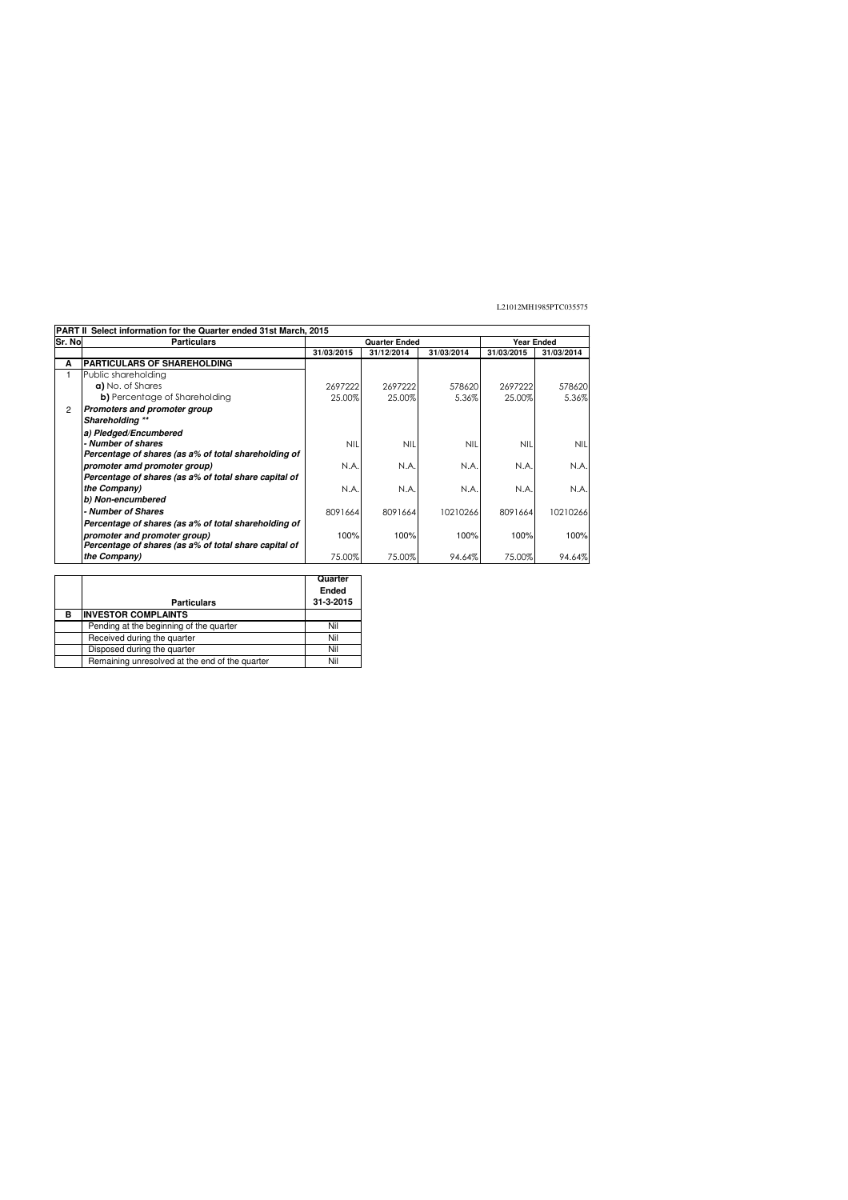## L21012MH1985PTC035575

|                | PART II Select information for the Quarter ended 31st March, 2015 |                      |            |            |                   |            |  |  |
|----------------|-------------------------------------------------------------------|----------------------|------------|------------|-------------------|------------|--|--|
| Sr. No         | <b>Particulars</b>                                                | <b>Quarter Ended</b> |            |            | <b>Year Ended</b> |            |  |  |
|                |                                                                   | 31/03/2015           | 31/12/2014 | 31/03/2014 | 31/03/2015        | 31/03/2014 |  |  |
| A              | <b>PARTICULARS OF SHAREHOLDING</b>                                |                      |            |            |                   |            |  |  |
|                | Public shareholding                                               |                      |            |            |                   |            |  |  |
|                | a) No. of Shares                                                  | 2697222              | 2697222    | 578620     | 2697222           | 578620     |  |  |
|                | <b>b)</b> Percentage of Shareholding                              | 25.00%               | 25.00%     | 5.36%      | 25.00%            | 5.36%      |  |  |
| $\overline{2}$ | <b>Promoters and promoter group</b>                               |                      |            |            |                   |            |  |  |
|                | Shareholding **                                                   |                      |            |            |                   |            |  |  |
|                | a) Pledged/Encumbered                                             |                      |            |            |                   |            |  |  |
|                | - Number of shares                                                | <b>NIL</b>           | <b>NIL</b> | <b>NIL</b> | <b>NIL</b>        | <b>NIL</b> |  |  |
|                | Percentage of shares (as a% of total shareholding of              |                      |            |            |                   |            |  |  |
|                | promoter amd promoter group)                                      | N.A.                 | N.A.       | N.A.       | N.A.              | N.A.       |  |  |
|                | Percentage of shares (as a% of total share capital of             |                      |            |            |                   |            |  |  |
|                | the Company)                                                      | N.A.                 | N.A.       | N.A.       | N.A.              | N.A.       |  |  |
|                | b) Non-encumbered                                                 |                      |            |            |                   |            |  |  |
|                | - Number of Shares                                                | 8091664              | 8091664    | 10210266   | 8091664           | 10210266   |  |  |
|                | Percentage of shares (as a% of total shareholding of              |                      |            |            |                   |            |  |  |
|                | promoter and promoter group)                                      | 100%                 | 100%       | 100%       | 100%              | 100%       |  |  |
|                | Percentage of shares (as a% of total share capital of             |                      |            |            |                   |            |  |  |
|                | the Company)                                                      | 75.00%               | 75.00%     | 94.64%     | 75.00%            | 94.64%     |  |  |

|   | <b>Particulars</b>                             | Quarter<br><b>Ended</b><br>31-3-2015 |
|---|------------------------------------------------|--------------------------------------|
| в | <b>INVESTOR COMPLAINTS</b>                     |                                      |
|   | Pending at the beginning of the quarter        | Nil                                  |
|   | Received during the quarter                    | Nil                                  |
|   | Disposed during the quarter                    | Nil                                  |
|   | Remaining unresolved at the end of the quarter | Nil                                  |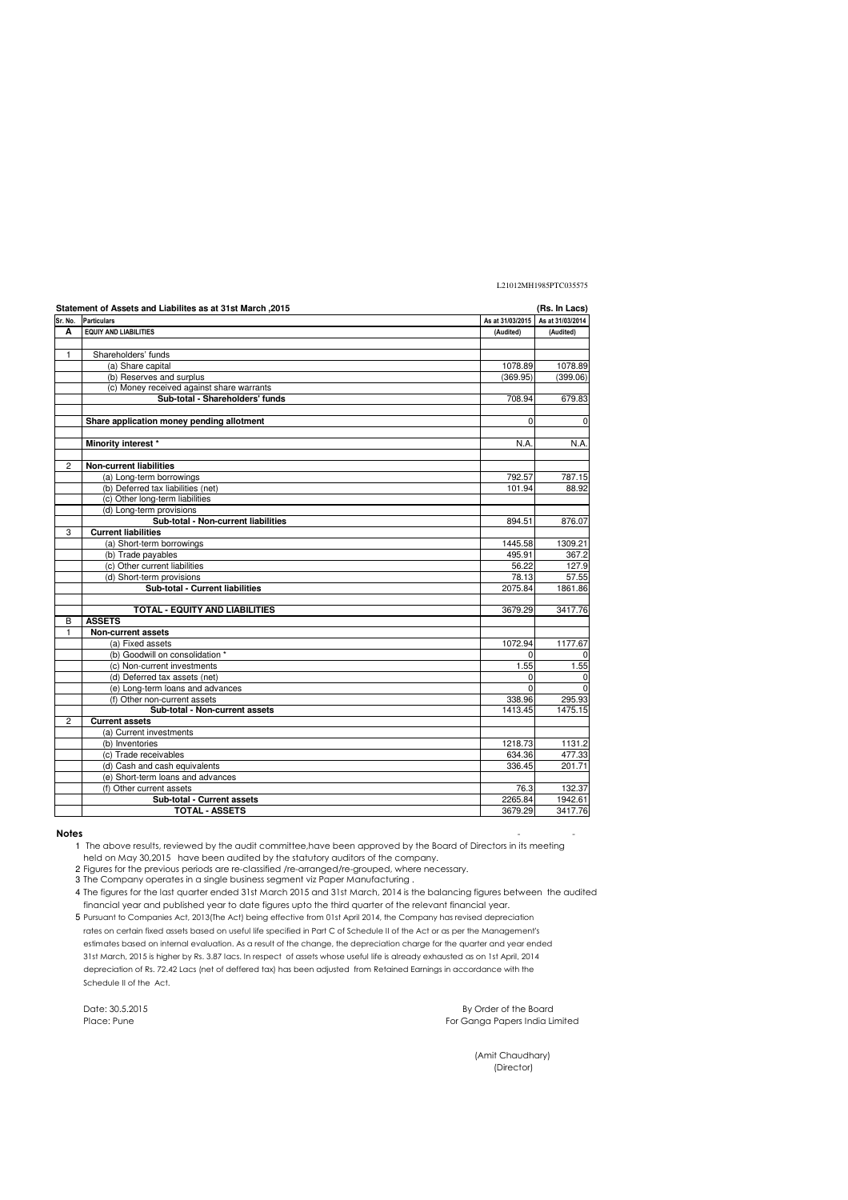## L21012MH1985PTC035575

|                | Statement of Assets and Liabilites as at 31st March, 2015 |                  | (Rs. In Lacs)    |
|----------------|-----------------------------------------------------------|------------------|------------------|
| Sr. No.        | Particulars                                               | As at 31/03/2015 | As at 31/03/2014 |
| A              | <b>EQUIY AND LIABILITIES</b>                              | (Audited)        | (Audited)        |
| 1              | Shareholders' funds                                       |                  |                  |
|                | (a) Share capital                                         | 1078.89          | 1078.89          |
|                | (b) Reserves and surplus                                  | (369.95)         | (399.06)         |
|                | (c) Money received against share warrants                 |                  |                  |
|                | Sub-total - Shareholders' funds                           | 708.94           | 679.83           |
|                | Share application money pending allotment                 | $\Omega$         | 0                |
|                | Minority interest *                                       | N.A.             | N.A.             |
| $\overline{2}$ | <b>Non-current liabilities</b>                            |                  |                  |
|                | (a) Long-term borrowings                                  | 792.57           | 787.15           |
|                | (b) Deferred tax liabilities (net)                        | 101.94           | 88.92            |
|                | (c) Other long-term liabilities                           |                  |                  |
|                | (d) Long-term provisions                                  |                  |                  |
|                | Sub-total - Non-current liabilities                       | 894.51           | 876.07           |
| 3              | <b>Current liabilities</b>                                |                  |                  |
|                | (a) Short-term borrowings                                 | 1445.58          | 1309.21          |
|                | (b) Trade payables                                        | 495.91           | 367.2            |
|                | (c) Other current liabilities                             | 56.22            | 127.9            |
|                | (d) Short-term provisions                                 | 78.13            | 57.55            |
|                | Sub-total - Current liabilities                           | 2075.84          | 1861.86          |
|                | <b>TOTAL - EQUITY AND LIABILITIES</b>                     | 3679.29          | 3417.76          |
| B              | <b>ASSETS</b>                                             |                  |                  |
| 1              | <b>Non-current assets</b>                                 |                  |                  |
|                | (a) Fixed assets                                          | 1072.94          | 1177.67          |
|                | (b) Goodwill on consolidation *                           | 0                | 0                |
|                | (c) Non-current investments                               | 1.55             | 1.55             |
|                | (d) Deferred tax assets (net)                             | 0                | $\mathbf 0$      |
|                | (e) Long-term loans and advances                          | 0                | $\overline{0}$   |
|                | (f) Other non-current assets                              | 338.96           | 295.93           |
|                | Sub-total - Non-current assets                            | 1413.45          | 1475.15          |
| $\mathbf{2}$   | <b>Current assets</b>                                     |                  |                  |
|                | (a) Current investments                                   |                  |                  |
|                | (b) Inventories                                           | 1218.73          | 1131.2           |
|                | (c) Trade receivables                                     | 634.36           | 477.33           |
|                | (d) Cash and cash equivalents                             | 336.45           | 201.71           |
|                | (e) Short-term loans and advances                         |                  |                  |

| /1/<br>Other<br>current assets <sup>.</sup> | 76.31   | דפ מפו<br>، ن. ےو، |
|---------------------------------------------|---------|--------------------|
| Sub-total - 0<br><b>Current assets</b>      | 2265.84 | 1942.61            |
| <b>ASSETS</b><br>TAL.<br>ັ                  | 3679.29 | 17.76<br>341       |

## **Notes** - -

1 The above results, reviewed by the audit committee,have been approved by the Board of Directors in its meeting held on May 30,2015 have been audited by the statutory auditors of the company.

5 Pursuant to Companies Act, 2013(The Act) being effective from 01st April 2014, the Company has revised depreciation rates on certain fixed assets based on useful life specified in Part C of Schedule II of the Act or as per the Management's estimates based on internal evaluation. As a result of the change, the depreciation charge for the quarter and year ended 31st March, 2015 is higher by Rs. 3.87 lacs. In respect of assets whose useful life is already exhausted as on 1st April, 2014 depreciation of Rs. 72.42 Lacs (net of deffered tax) has been adjusted from Retained Earnings in accordance with the Schedule II of the Act.

Date: 30.5.2015 By Order of the Board Place: Pune For Ganga Papers India Limited

4 The figures for the last quarter ended 31st March 2015 and 31st March, 2014 is the balancing figures between† the audited financial year and published year to date figures upto the third quarter of the relevant financial year.

3 The Company operates in a single business segment viz Paper Manufacturing .

2 Figures for the previous periods are re-classified /re-arranged/re-grouped, where necessary.

 (Amit Chaudhary) (Director)